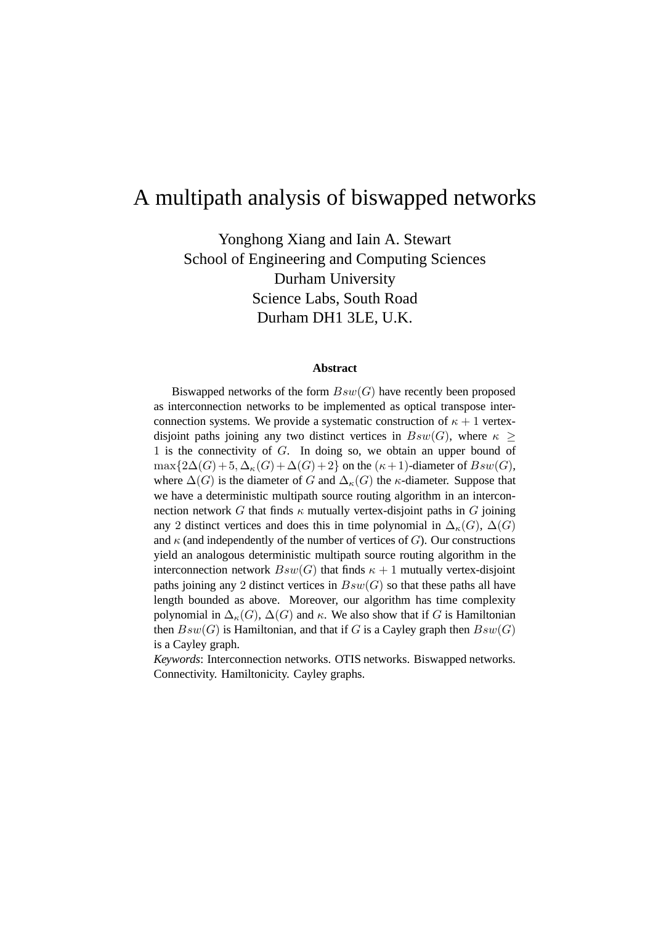# A multipath analysis of biswapped networks

Yonghong Xiang and Iain A. Stewart School of Engineering and Computing Sciences Durham University Science Labs, South Road Durham DH1 3LE, U.K.

#### **Abstract**

Biswapped networks of the form  $Bsw(G)$  have recently been proposed as interconnection networks to be implemented as optical transpose interconnection systems. We provide a systematic construction of  $\kappa + 1$  vertexdisjoint paths joining any two distinct vertices in  $Bsw(G)$ , where  $\kappa$ 1 is the connectivity of  $G$ . In doing so, we obtain an upper bound of  $\max\{2\Delta(G)+5,\Delta_{\kappa}(G)+\Delta(G)+2\}$  on the  $(\kappa+1)$ -diameter of  $Bsw(G)$ , where  $\Delta(G)$  is the diameter of G and  $\Delta_{\kappa}(G)$  the  $\kappa$ -diameter. Suppose that we have a deterministic multipath source routing algorithm in an interconnection network G that finds  $\kappa$  mutually vertex-disjoint paths in G joining any 2 distinct vertices and does this in time polynomial in  $\Delta_{\kappa}(G)$ ,  $\Delta(G)$ and  $\kappa$  (and independently of the number of vertices of G). Our constructions yield an analogous deterministic multipath source routing algorithm in the interconnection network  $Bsw(G)$  that finds  $\kappa + 1$  mutually vertex-disjoint paths joining any 2 distinct vertices in  $Bsw(G)$  so that these paths all have length bounded as above. Moreover, our algorithm has time complexity polynomial in  $\Delta_{\kappa}(G)$ ,  $\Delta(G)$  and  $\kappa$ . We also show that if G is Hamiltonian then  $Bsw(G)$  is Hamiltonian, and that if G is a Cayley graph then  $Bsw(G)$ is a Cayley graph.

*Keywords*: Interconnection networks. OTIS networks. Biswapped networks. Connectivity. Hamiltonicity. Cayley graphs.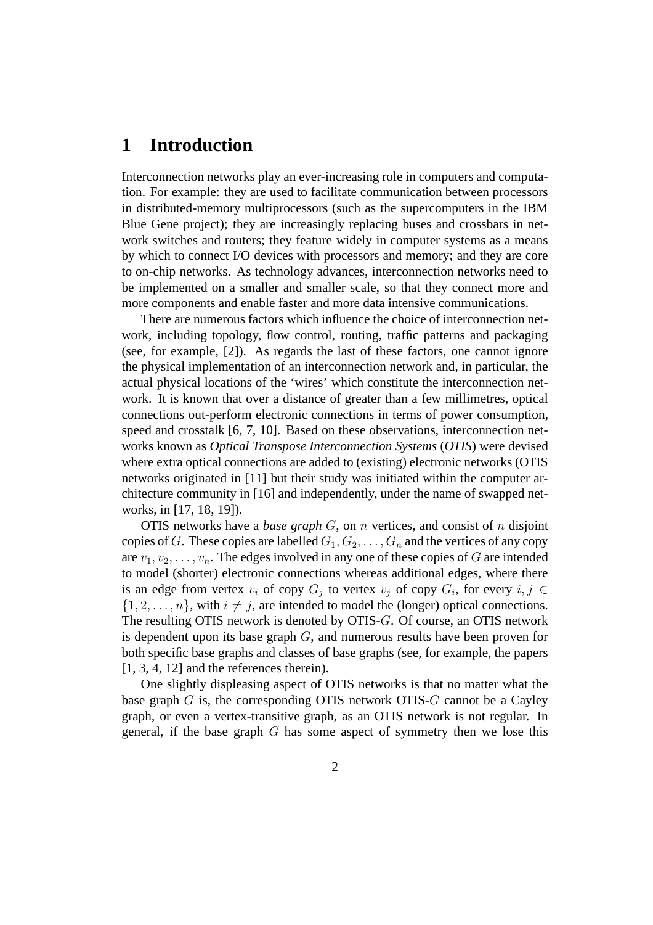## **1 Introduction**

Interconnection networks play an ever-increasing role in computers and computation. For example: they are used to facilitate communication between processors in distributed-memory multiprocessors (such as the supercomputers in the IBM Blue Gene project); they are increasingly replacing buses and crossbars in network switches and routers; they feature widely in computer systems as a means by which to connect I/O devices with processors and memory; and they are core to on-chip networks. As technology advances, interconnection networks need to be implemented on a smaller and smaller scale, so that they connect more and more components and enable faster and more data intensive communications.

There are numerous factors which influence the choice of interconnection network, including topology, flow control, routing, traffic patterns and packaging (see, for example, [2]). As regards the last of these factors, one cannot ignore the physical implementation of an interconnection network and, in particular, the actual physical locations of the 'wires' which constitute the interconnection network. It is known that over a distance of greater than a few millimetres, optical connections out-perform electronic connections in terms of power consumption, speed and crosstalk [6, 7, 10]. Based on these observations, interconnection networks known as *Optical Transpose Interconnection Systems* (*OTIS*) were devised where extra optical connections are added to (existing) electronic networks (OTIS networks originated in [11] but their study was initiated within the computer architecture community in [16] and independently, under the name of swapped networks, in [17, 18, 19]).

OTIS networks have a *base graph* G, on n vertices, and consist of n disjoint copies of G. These copies are labelled  $G_1, G_2, \ldots, G_n$  and the vertices of any copy are  $v_1, v_2, \ldots, v_n$ . The edges involved in any one of these copies of G are intended to model (shorter) electronic connections whereas additional edges, where there is an edge from vertex  $v_i$  of copy  $G_j$  to vertex  $v_j$  of copy  $G_i$ , for every  $i, j \in$  $\{1, 2, \ldots, n\}$ , with  $i \neq j$ , are intended to model the (longer) optical connections. The resulting OTIS network is denoted by OTIS-G. Of course, an OTIS network is dependent upon its base graph G, and numerous results have been proven for both specific base graphs and classes of base graphs (see, for example, the papers [1, 3, 4, 12] and the references therein).

One slightly displeasing aspect of OTIS networks is that no matter what the base graph  $G$  is, the corresponding OTIS network OTIS- $G$  cannot be a Cayley graph, or even a vertex-transitive graph, as an OTIS network is not regular. In general, if the base graph  $G$  has some aspect of symmetry then we lose this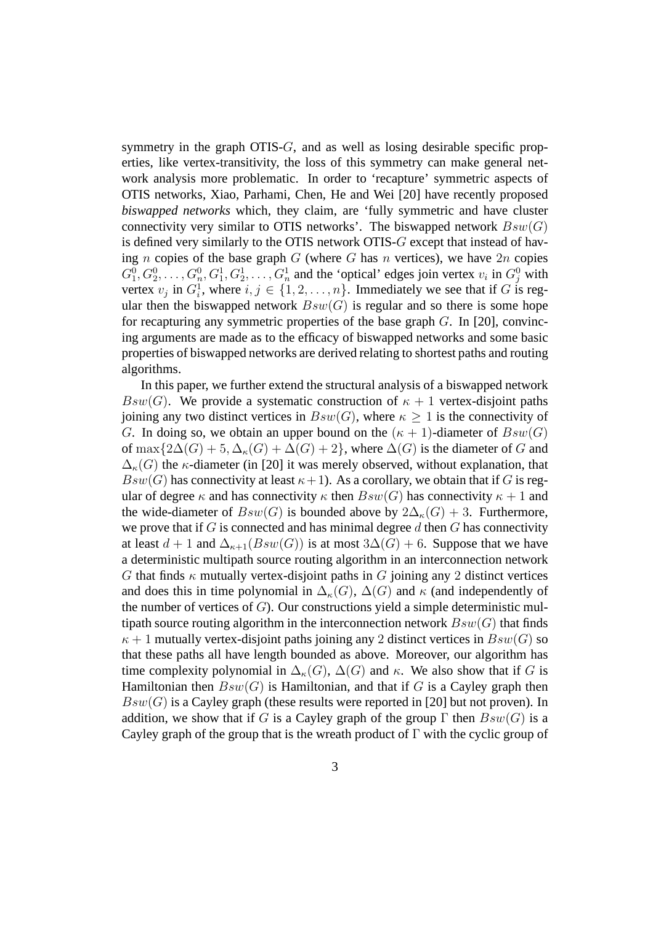symmetry in the graph OTIS-G, and as well as losing desirable specific properties, like vertex-transitivity, the loss of this symmetry can make general network analysis more problematic. In order to 'recapture' symmetric aspects of OTIS networks, Xiao, Parhami, Chen, He and Wei [20] have recently proposed *biswapped networks* which, they claim, are 'fully symmetric and have cluster connectivity very similar to OTIS networks'. The biswapped network  $Bsw(G)$ is defined very similarly to the OTIS network OTIS-G except that instead of having n copies of the base graph  $G$  (where  $G$  has n vertices), we have  $2n$  copies  $G_1^0, G_2^0, \ldots, G_n^0, G_1^1, G_2^1, \ldots, G_n^1$  and the 'optical' edges join vertex  $v_i$  in  $G_j^0$  with vertex  $v_j$  in  $G_i^1$ , where  $i, j \in \{1, 2, ..., n\}$ . Immediately we see that if G is regular then the biswapped network  $Bsw(G)$  is regular and so there is some hope for recapturing any symmetric properties of the base graph  $G$ . In [20], convincing arguments are made as to the efficacy of biswapped networks and some basic properties of biswapped networks are derived relating to shortest paths and routing algorithms.

In this paper, we further extend the structural analysis of a biswapped network Bsw(G). We provide a systematic construction of  $\kappa + 1$  vertex-disjoint paths joining any two distinct vertices in  $Bsw(G)$ , where  $\kappa \geq 1$  is the connectivity of G. In doing so, we obtain an upper bound on the  $(\kappa + 1)$ -diameter of  $Bsw(G)$ of max $\{2\Delta(G) + 5, \Delta_{\kappa}(G) + \Delta(G) + 2\}$ , where  $\Delta(G)$  is the diameter of G and  $\Delta_{\kappa}(G)$  the  $\kappa$ -diameter (in [20] it was merely observed, without explanation, that  $Bsw(G)$  has connectivity at least  $\kappa+1$ ). As a corollary, we obtain that if G is regular of degree  $\kappa$  and has connectivity  $\kappa$  then  $Bsw(G)$  has connectivity  $\kappa + 1$  and the wide-diameter of  $Bsw(G)$  is bounded above by  $2\Delta_{\kappa}(G) + 3$ . Furthermore, we prove that if  $G$  is connected and has minimal degree  $d$  then  $G$  has connectivity at least  $d + 1$  and  $\Delta_{\kappa+1}(Bsw(G))$  is at most  $3\Delta(G) + 6$ . Suppose that we have a deterministic multipath source routing algorithm in an interconnection network G that finds  $\kappa$  mutually vertex-disjoint paths in G joining any 2 distinct vertices and does this in time polynomial in  $\Delta_{\kappa}(G)$ ,  $\Delta(G)$  and  $\kappa$  (and independently of the number of vertices of  $G$ ). Our constructions yield a simple deterministic multipath source routing algorithm in the interconnection network  $Bsw(G)$  that finds  $\kappa + 1$  mutually vertex-disjoint paths joining any 2 distinct vertices in  $Bsw(G)$  so that these paths all have length bounded as above. Moreover, our algorithm has time complexity polynomial in  $\Delta_{\kappa}(G)$ ,  $\Delta(G)$  and  $\kappa$ . We also show that if G is Hamiltonian then  $Bsw(G)$  is Hamiltonian, and that if G is a Cayley graph then  $Bsw(G)$  is a Cayley graph (these results were reported in [20] but not proven). In addition, we show that if G is a Cayley graph of the group  $\Gamma$  then  $Bsw(G)$  is a Cayley graph of the group that is the wreath product of  $\Gamma$  with the cyclic group of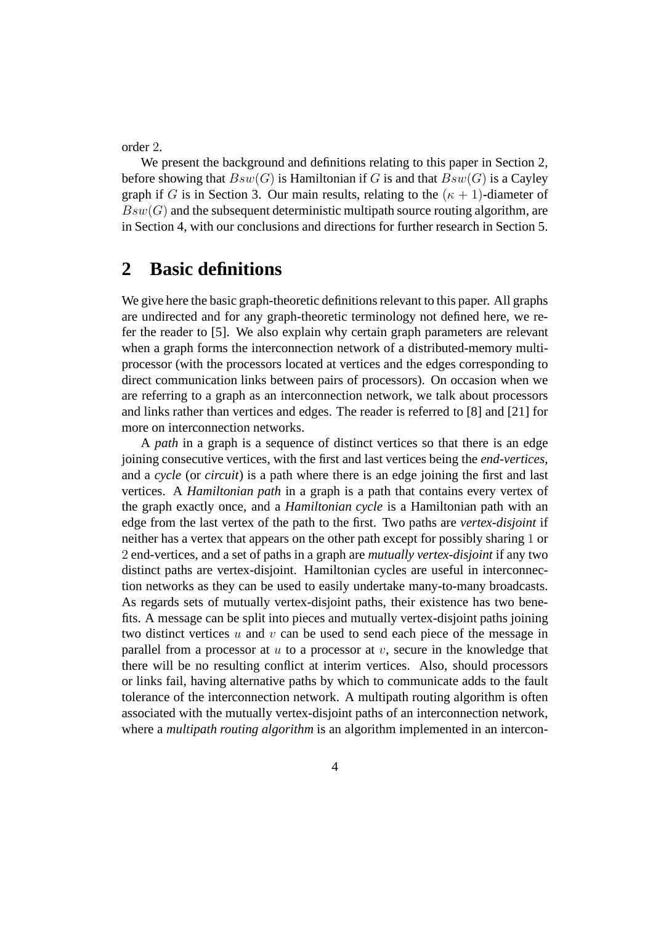order 2.

We present the background and definitions relating to this paper in Section 2, before showing that  $Bsw(G)$  is Hamiltonian if G is and that  $Bsw(G)$  is a Cayley graph if G is in Section 3. Our main results, relating to the  $(\kappa + 1)$ -diameter of  $Bsw(G)$  and the subsequent deterministic multipath source routing algorithm, are in Section 4, with our conclusions and directions for further research in Section 5.

## **2 Basic definitions**

We give here the basic graph-theoretic definitions relevant to this paper. All graphs are undirected and for any graph-theoretic terminology not defined here, we refer the reader to [5]. We also explain why certain graph parameters are relevant when a graph forms the interconnection network of a distributed-memory multiprocessor (with the processors located at vertices and the edges corresponding to direct communication links between pairs of processors). On occasion when we are referring to a graph as an interconnection network, we talk about processors and links rather than vertices and edges. The reader is referred to [8] and [21] for more on interconnection networks.

A *path* in a graph is a sequence of distinct vertices so that there is an edge joining consecutive vertices, with the first and last vertices being the *end-vertices*, and a *cycle* (or *circuit*) is a path where there is an edge joining the first and last vertices. A *Hamiltonian path* in a graph is a path that contains every vertex of the graph exactly once, and a *Hamiltonian cycle* is a Hamiltonian path with an edge from the last vertex of the path to the first. Two paths are *vertex-disjoint* if neither has a vertex that appears on the other path except for possibly sharing 1 or 2 end-vertices, and a set of paths in a graph are *mutually vertex-disjoint* if any two distinct paths are vertex-disjoint. Hamiltonian cycles are useful in interconnection networks as they can be used to easily undertake many-to-many broadcasts. As regards sets of mutually vertex-disjoint paths, their existence has two benefits. A message can be split into pieces and mutually vertex-disjoint paths joining two distinct vertices  $u$  and  $v$  can be used to send each piece of the message in parallel from a processor at  $u$  to a processor at  $v$ , secure in the knowledge that there will be no resulting conflict at interim vertices. Also, should processors or links fail, having alternative paths by which to communicate adds to the fault tolerance of the interconnection network. A multipath routing algorithm is often associated with the mutually vertex-disjoint paths of an interconnection network, where a *multipath routing algorithm* is an algorithm implemented in an intercon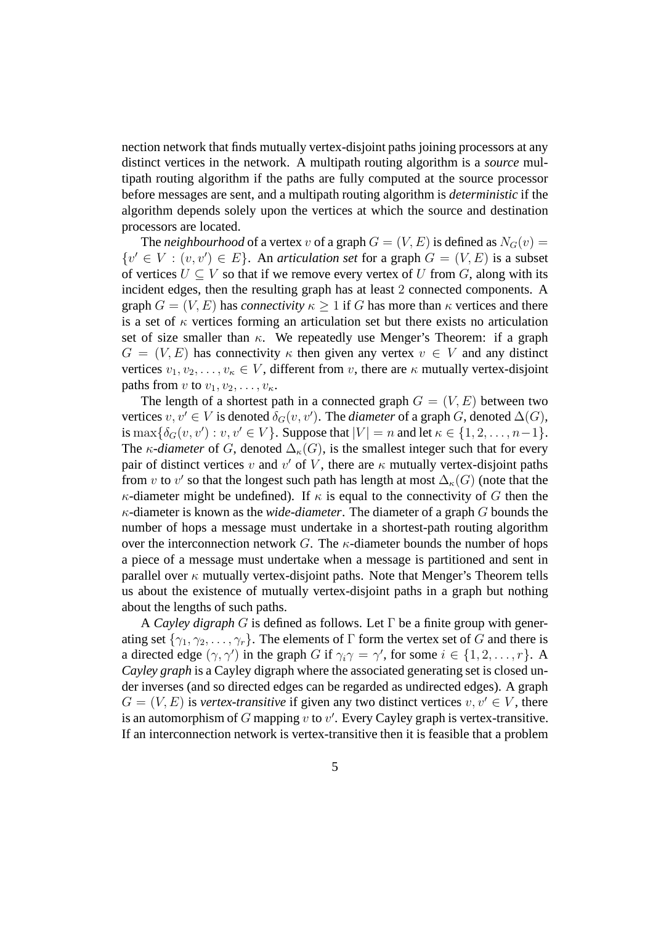nection network that finds mutually vertex-disjoint paths joining processors at any distinct vertices in the network. A multipath routing algorithm is a *source* multipath routing algorithm if the paths are fully computed at the source processor before messages are sent, and a multipath routing algorithm is *deterministic* if the algorithm depends solely upon the vertices at which the source and destination processors are located.

The *neighbourhood* of a vertex v of a graph  $G = (V, E)$  is defined as  $N_G(v) =$  $\{v' \in V : (v, v') \in E\}$ . An *articulation set* for a graph  $G = (V, E)$  is a subset of vertices  $U \subset V$  so that if we remove every vertex of U from G, along with its incident edges, then the resulting graph has at least 2 connected components. A graph  $G = (V, E)$  has *connectivity*  $\kappa \geq 1$  if G has more than  $\kappa$  vertices and there is a set of  $\kappa$  vertices forming an articulation set but there exists no articulation set of size smaller than  $\kappa$ . We repeatedly use Menger's Theorem: if a graph  $G = (V, E)$  has connectivity  $\kappa$  then given any vertex  $v \in V$  and any distinct vertices  $v_1, v_2, \ldots, v_k \in V$ , different from v, there are  $\kappa$  mutually vertex-disjoint paths from v to  $v_1, v_2, \ldots, v_{\kappa}$ .

The length of a shortest path in a connected graph  $G = (V, E)$  between two vertices  $v, v' \in V$  is denoted  $\delta_G(v, v')$ . The *diameter* of a graph G, denoted  $\Delta(G)$ , is  $\max\{\delta_G(v, v') : v, v' \in V\}$ . Suppose that  $|V| = n$  and let  $\kappa \in \{1, 2, ..., n-1\}$ . The  $\kappa$ -diameter of G, denoted  $\Delta_{\kappa}(G)$ , is the smallest integer such that for every pair of distinct vertices v and v' of V, there are  $\kappa$  mutually vertex-disjoint paths from v to v' so that the longest such path has length at most  $\Delta_{\kappa}(G)$  (note that the  $\kappa$ -diameter might be undefined). If  $\kappa$  is equal to the connectivity of G then the κ-diameter is known as the *wide-diameter*. The diameter of a graph G bounds the number of hops a message must undertake in a shortest-path routing algorithm over the interconnection network  $G$ . The  $\kappa$ -diameter bounds the number of hops a piece of a message must undertake when a message is partitioned and sent in parallel over  $\kappa$  mutually vertex-disjoint paths. Note that Menger's Theorem tells us about the existence of mutually vertex-disjoint paths in a graph but nothing about the lengths of such paths.

A *Cayley digraph* G is defined as follows. Let Γ be a finite group with generating set  $\{\gamma_1, \gamma_2, \ldots, \gamma_r\}$ . The elements of  $\Gamma$  form the vertex set of G and there is a directed edge  $(\gamma, \gamma')$  in the graph G if  $\gamma_i \gamma = \gamma'$ , for some  $i \in \{1, 2, ..., r\}$ . A *Cayley graph* is a Cayley digraph where the associated generating set is closed under inverses (and so directed edges can be regarded as undirected edges). A graph  $G = (V, E)$  is *vertex-transitive* if given any two distinct vertices  $v, v' \in V$ , there is an automorphism of G mapping v to v'. Every Cayley graph is vertex-transitive. If an interconnection network is vertex-transitive then it is feasible that a problem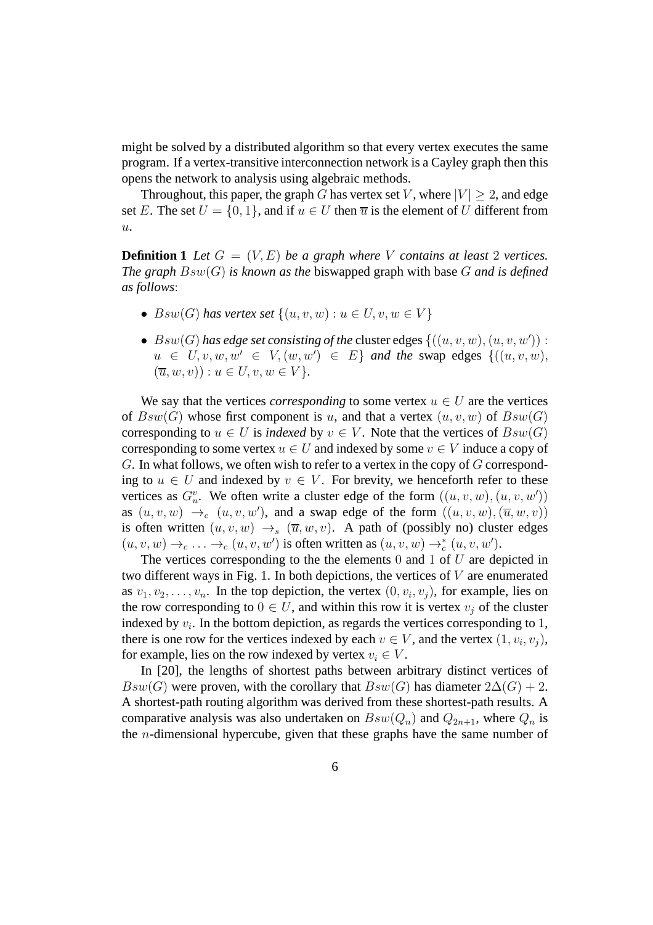might be solved by a distributed algorithm so that every vertex executes the same program. If a vertex-transitive interconnection network is a Cayley graph then this opens the network to analysis using algebraic methods.

Throughout, this paper, the graph G has vertex set V, where  $|V| \geq 2$ , and edge set E. The set  $U = \{0, 1\}$ , and if  $u \in U$  then  $\overline{u}$  is the element of U different from  $u$ .

**Definition 1** Let  $G = (V, E)$  be a graph where V contains at least 2 vertices. *The graph* Bsw(G) *is known as the* biswapped graph with base G *and is defined as follows*:

- $Bsw(G)$  has vertex set  $\{(u, v, w) : u \in U, v, w \in V\}$
- $Bsw(G)$  has edge set consisting of the cluster edges  $\{((u, v, w), (u, v, w')) :$  $u \in U, v, w, w' \in V, (w, w') \in E$  *and the swap edges*  $\{((u, v, w),$  $(\overline{u}, w, v)$ ) :  $u \in U, v, w \in V$ .

We say that the vertices *corresponding* to some vertex  $u \in U$  are the vertices of  $Bsw(G)$  whose first component is u, and that a vertex  $(u, v, w)$  of  $Bsw(G)$ corresponding to  $u \in U$  is *indexed* by  $v \in V$ . Note that the vertices of  $Bsw(G)$ corresponding to some vertex  $u \in U$  and indexed by some  $v \in V$  induce a copy of  $G$ . In what follows, we often wish to refer to a vertex in the copy of  $G$  corresponding to  $u \in U$  and indexed by  $v \in V$ . For brevity, we henceforth refer to these vertices as  $G_u^v$ . We often write a cluster edge of the form  $((u, v, w), (u, v, w'))$ as  $(u, v, w) \rightarrow_c (u, v, w')$ , and a swap edge of the form  $((u, v, w), (\overline{u}, w, v))$ is often written  $(u, v, w) \rightarrow_s (\overline{u}, w, v)$ . A path of (possibly no) cluster edges  $(u, v, w) \rightarrow_c \ldots \rightarrow_c (u, v, w')$  is often written as  $(u, v, w) \rightarrow_c^* (u, v, w')$ .

The vertices corresponding to the the elements 0 and 1 of U are depicted in two different ways in Fig. 1. In both depictions, the vertices of V are enumerated as  $v_1, v_2, \ldots, v_n$ . In the top depiction, the vertex  $(0, v_i, v_j)$ , for example, lies on the row corresponding to  $0 \in U$ , and within this row it is vertex  $v_i$  of the cluster indexed by  $v_i$ . In the bottom depiction, as regards the vertices corresponding to 1, there is one row for the vertices indexed by each  $v \in V$ , and the vertex  $(1, v_i, v_j)$ , for example, lies on the row indexed by vertex  $v_i \in V$ .

In [20], the lengths of shortest paths between arbitrary distinct vertices of  $Bsw(G)$  were proven, with the corollary that  $Bsw(G)$  has diameter  $2\Delta(G) + 2$ . A shortest-path routing algorithm was derived from these shortest-path results. A comparative analysis was also undertaken on  $Bsw(Q_n)$  and  $Q_{2n+1}$ , where  $Q_n$  is the n-dimensional hypercube, given that these graphs have the same number of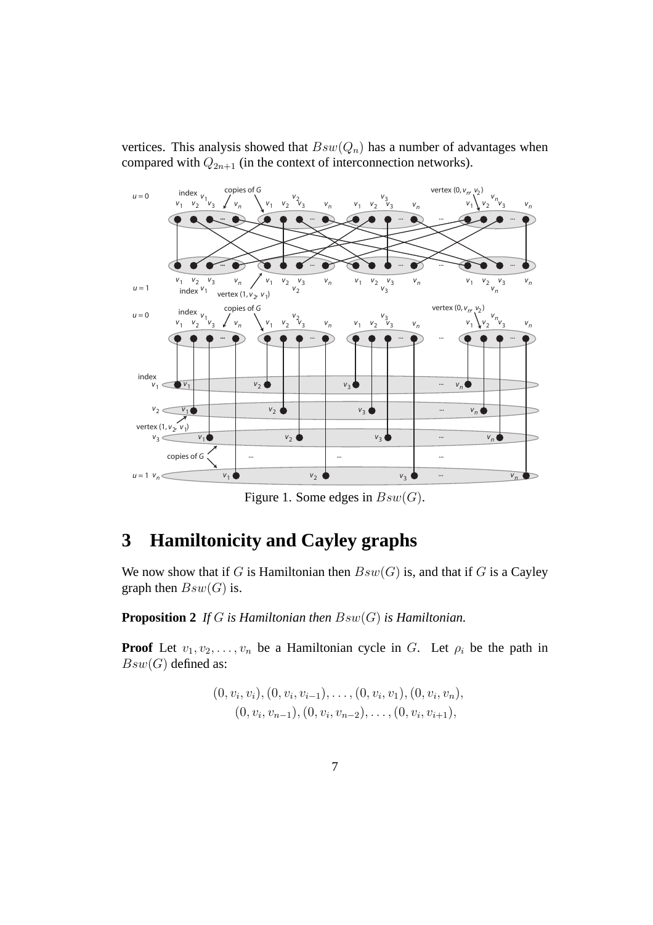



Figure 1. Some edges in  $Bsw(G)$ .

## **3 Hamiltonicity and Cayley graphs**

We now show that if G is Hamiltonian then  $Bsw(G)$  is, and that if G is a Cayley graph then  $Bsw(G)$  is.

**Proposition 2** *If* G *is Hamiltonian then* Bsw(G) *is Hamiltonian.*

**Proof** Let  $v_1, v_2, \ldots, v_n$  be a Hamiltonian cycle in G. Let  $\rho_i$  be the path in  $Bsw(G)$  defined as:

$$
(0, v_i, v_i), (0, v_i, v_{i-1}), \ldots, (0, v_i, v_1), (0, v_i, v_n), (0, v_i, v_{n-1}), (0, v_i, v_{n-2}), \ldots, (0, v_i, v_{i+1}),
$$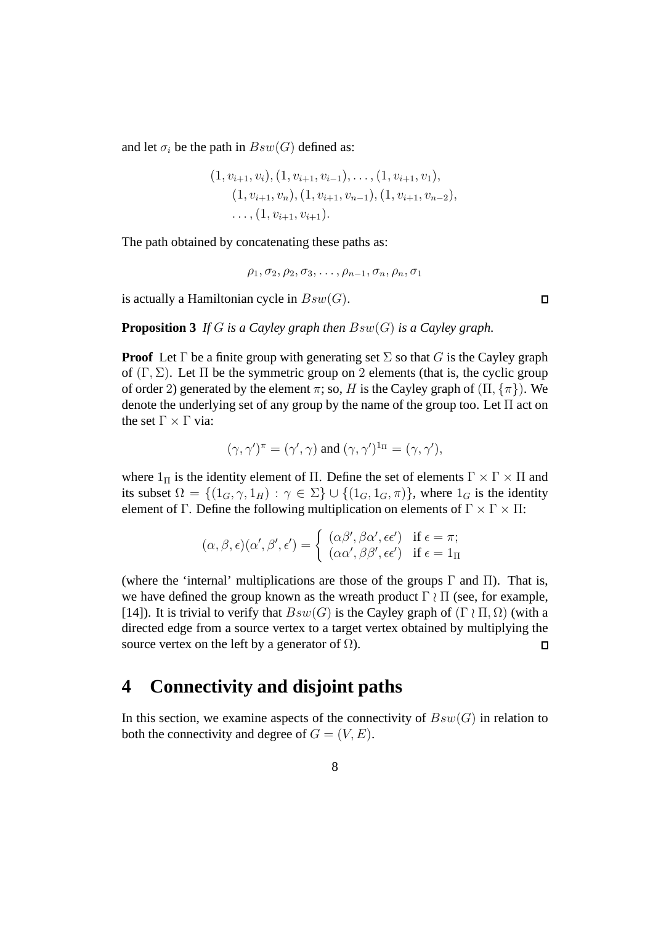and let  $\sigma_i$  be the path in  $Bsw(G)$  defined as:

$$
(1, v_{i+1}, v_i), (1, v_{i+1}, v_{i-1}), \dots, (1, v_{i+1}, v_1),
$$
  

$$
(1, v_{i+1}, v_n), (1, v_{i+1}, v_{n-1}), (1, v_{i+1}, v_{n-2}),
$$
  

$$
\dots, (1, v_{i+1}, v_{i+1}).
$$

The path obtained by concatenating these paths as:

$$
\rho_1, \sigma_2, \rho_2, \sigma_3, \ldots, \rho_{n-1}, \sigma_n, \rho_n, \sigma_1
$$

is actually a Hamiltonian cycle in  $Bsw(G)$ .

**Proposition 3** *If* G *is a Cayley graph then* Bsw(G) *is a Cayley graph.*

**Proof** Let  $\Gamma$  be a finite group with generating set  $\Sigma$  so that G is the Cayley graph of  $(\Gamma, \Sigma)$ . Let  $\Pi$  be the symmetric group on 2 elements (that is, the cyclic group of order 2) generated by the element  $\pi$ ; so, H is the Cayley graph of  $(\Pi, {\{\pi\}})$ . We denote the underlying set of any group by the name of the group too. Let Π act on the set  $\Gamma \times \Gamma$  via:

$$
(\gamma, \gamma')^{\pi} = (\gamma', \gamma)
$$
 and  $(\gamma, \gamma')^{1_{\Pi}} = (\gamma, \gamma'),$ 

where  $1_{\Pi}$  is the identity element of  $\Pi$ . Define the set of elements  $\Gamma \times \Gamma \times \Pi$  and its subset  $\Omega = \{(1_G, \gamma, 1_H) : \gamma \in \Sigma\} \cup \{(1_G, 1_G, \pi)\}\)$ , where  $1_G$  is the identity element of Γ. Define the following multiplication on elements of  $\Gamma \times \Gamma \times \Pi$ :

$$
(\alpha, \beta, \epsilon)(\alpha', \beta', \epsilon') = \begin{cases} (\alpha\beta', \beta\alpha', \epsilon\epsilon') & \text{if } \epsilon = \pi; \\ (\alpha\alpha', \beta\beta', \epsilon\epsilon') & \text{if } \epsilon = 1_{\Pi} \end{cases}
$$

(where the 'internal' multiplications are those of the groups  $\Gamma$  and  $\Pi$ ). That is, we have defined the group known as the wreath product  $\Gamma \wr \Pi$  (see, for example, [14]). It is trivial to verify that  $Bsw(G)$  is the Cayley graph of  $(\Gamma \nmid \Pi, \Omega)$  (with a directed edge from a source vertex to a target vertex obtained by multiplying the source vertex on the left by a generator of  $\Omega$ ).  $\Box$ 

## **4 Connectivity and disjoint paths**

In this section, we examine aspects of the connectivity of  $Bsw(G)$  in relation to both the connectivity and degree of  $G = (V, E)$ .

 $\Box$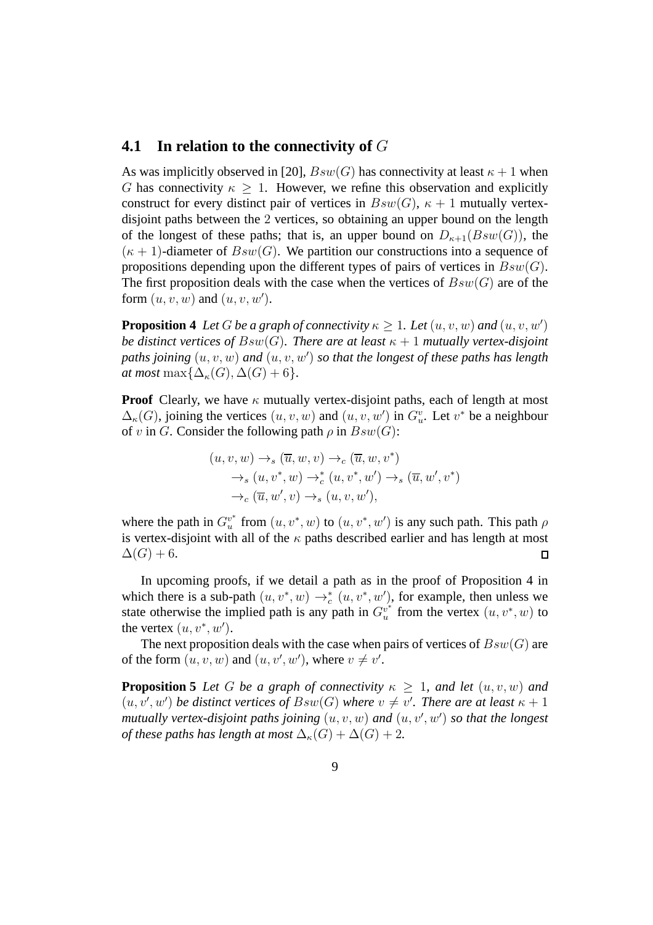#### **4.1 In relation to the connectivity of** G

As was implicitly observed in [20],  $Bsw(G)$  has connectivity at least  $\kappa + 1$  when G has connectivity  $\kappa > 1$ . However, we refine this observation and explicitly construct for every distinct pair of vertices in  $Bsw(G)$ ,  $\kappa + 1$  mutually vertexdisjoint paths between the 2 vertices, so obtaining an upper bound on the length of the longest of these paths; that is, an upper bound on  $D_{\kappa+1}(Bsw(G))$ , the  $(\kappa + 1)$ -diameter of  $Bsw(G)$ . We partition our constructions into a sequence of propositions depending upon the different types of pairs of vertices in  $Bsw(G)$ . The first proposition deals with the case when the vertices of  $Bsw(G)$  are of the form  $(u, v, w)$  and  $(u, v, w')$ .

**Proposition 4** *Let* G *be a graph of connectivity*  $\kappa \geq 1$ *. Let*  $(u, v, w)$  *and*  $(u, v, w')$ *be distinct vertices of*  $Bsw(G)$ *. There are at least*  $\kappa + 1$  *mutually vertex-disjoint paths joining* (u, v, w) *and* (u, v, w′ ) *so that the longest of these paths has length at most* max $\{\Delta_{\kappa}(G), \Delta(G) + 6\}.$ 

**Proof** Clearly, we have  $\kappa$  mutually vertex-disjoint paths, each of length at most  $\Delta_{\kappa}(G)$ , joining the vertices  $(u, v, w)$  and  $(u, v, w')$  in  $G_u^v$ . Let  $v^*$  be a neighbour of v in G. Consider the following path  $\rho$  in  $Bsw(G)$ :

$$
(u, v, w) \rightarrow_s (\overline{u}, w, v) \rightarrow_c (\overline{u}, w, v^*)
$$
  
\n
$$
\rightarrow_s (u, v^*, w) \rightarrow_c^* (u, v^*, w') \rightarrow_s (\overline{u}, w', v^*)
$$
  
\n
$$
\rightarrow_c (\overline{u}, w', v) \rightarrow_s (u, v, w'),
$$

where the path in  $G_u^{v^*}$  $v^*$  from  $(u, v^*, w)$  to  $(u, v^*, w')$  is any such path. This path  $\rho$ is vertex-disjoint with all of the  $\kappa$  paths described earlier and has length at most  $\Delta(G) + 6.$  $\Box$ 

In upcoming proofs, if we detail a path as in the proof of Proposition 4 in which there is a sub-path  $(u, v^*, w) \rightarrow_c^{\infty} (u, v^*, w')$ , for example, then unless we state otherwise the implied path is any path in  $G_u^{v^*}$  $\overline{u}^*$  from the vertex  $(u, v^*, w)$  to the vertex  $(u, v^*, w')$ .

The next proposition deals with the case when pairs of vertices of  $Bsw(G)$  are of the form  $(u, v, w)$  and  $(u, v', w')$ , where  $v \neq v'$ .

**Proposition 5** *Let* G *be a graph of connectivity*  $\kappa \geq 1$ *, and let*  $(u, v, w)$  *and*  $(u, v', w')$  be distinct vertices of  $Bsw(G)$  where  $v \neq v'$ . There are at least  $\kappa + 1$ *mutually vertex-disjoint paths joining* (u, v, w) *and* (u, v′ , w′ ) *so that the longest of these paths has length at most*  $\Delta_{\kappa}(G) + \Delta(G) + 2$ .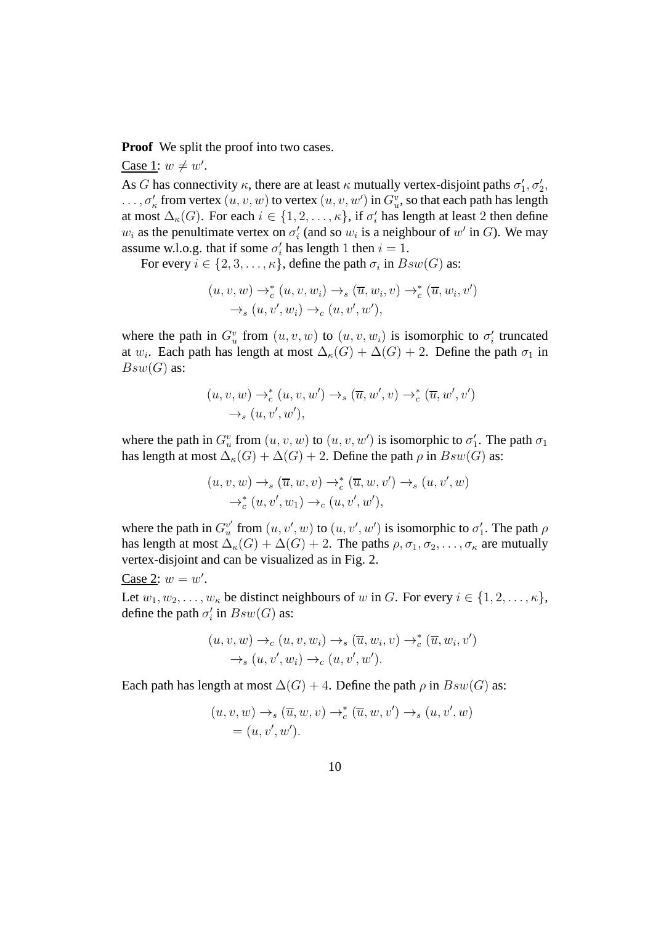**Proof** We split the proof into two cases.

Case 1:  $w \neq w'$ .

As G has connectivity  $\kappa$ , there are at least  $\kappa$  mutually vertex-disjoint paths  $\sigma_1$  $'_{1}, \sigma'_{2},$  $..., \sigma'_{\kappa}$  from vertex  $(u, v, w)$  to vertex  $(u, v, w')$  in  $G_u^v$ , so that each path has length at most  $\Delta_{\kappa}(G)$ . For each  $i \in \{1, 2, ..., \kappa\}$ , if  $\sigma'_i$  has length at least 2 then define  $w_i$  as the penultimate vertex on  $\sigma'_i$  $i$  (and so  $w_i$  is a neighbour of  $w'$  in  $G$ ). We may assume w.l.o.g. that if some  $\sigma_i'$  has length 1 then  $i = 1$ .

For every  $i \in \{2, 3, \ldots, \kappa\}$ , define the path  $\sigma_i$  in  $Bsw(G)$  as:

$$
(u, v, w) \rightarrow_c^* (u, v, w_i) \rightarrow_s (\overline{u}, w_i, v) \rightarrow_c^* (\overline{u}, w_i, v')
$$
  

$$
\rightarrow_s (u, v', w_i) \rightarrow_c (u, v', w'),
$$

where the path in  $G_u^v$  from  $(u, v, w)$  to  $(u, v, w_i)$  is isomorphic to  $\sigma'_i$  $i$ <sub>i</sub> truncated at  $w_i$ . Each path has length at most  $\Delta_{\kappa}(G) + \Delta(G) + 2$ . Define the path  $\sigma_1$  in  $Bsw(G)$  as:

$$
(u, v, w) \rightarrow_c^* (u, v, w') \rightarrow_s (\overline{u}, w', v) \rightarrow_c^* (\overline{u}, w', v')
$$
  

$$
\rightarrow_s (u, v', w'),
$$

where the path in  $G_u^v$  from  $(u, v, w)$  to  $(u, v, w')$  is isomorphic to  $\sigma'_1$  $\mathcal{L}_1'$ . The path  $\sigma_1$ has length at most  $\Delta_{\kappa}(G) + \Delta(G) + 2$ . Define the path  $\rho$  in  $Bsw(G)$  as:

$$
(u, v, w) \rightarrow_s (\overline{u}, w, v) \rightarrow_c^* (\overline{u}, w, v') \rightarrow_s (u, v', w)
$$

$$
\rightarrow_c^* (u, v', w_1) \rightarrow_c (u, v', w'),
$$

where the path in  $G_u^{v'}$  $\mathbf{u}_u^{v'}$  from  $(u, v', w)$  to  $(u, v', w')$  is isomorphic to  $\sigma_1'$  $\frac{1}{1}$ . The path  $\rho$ has length at most  $\Delta_{\kappa}(G) + \Delta(G) + 2$ . The paths  $\rho, \sigma_1, \sigma_2, \ldots, \sigma_{\kappa}$  are mutually vertex-disjoint and can be visualized as in Fig. 2.

Case 2:  $w = w'$ .

Let  $w_1, w_2, \ldots, w_{\kappa}$  be distinct neighbours of w in G. For every  $i \in \{1, 2, \ldots, \kappa\},$ define the path  $\sigma_i'$  $'_{i}$  in  $Bsw(G)$  as:

$$
(u, v, w) \rightarrow_c (u, v, w_i) \rightarrow_s (\overline{u}, w_i, v) \rightarrow_c^* (\overline{u}, w_i, v')
$$
  

$$
\rightarrow_s (u, v', w_i) \rightarrow_c (u, v', w').
$$

Each path has length at most  $\Delta(G) + 4$ . Define the path  $\rho$  in  $Bsw(G)$  as:

$$
(u, v, w) \rightarrow_s (\overline{u}, w, v) \rightarrow_c^* (\overline{u}, w, v') \rightarrow_s (u, v', w)
$$
  
=  $(u, v', w').$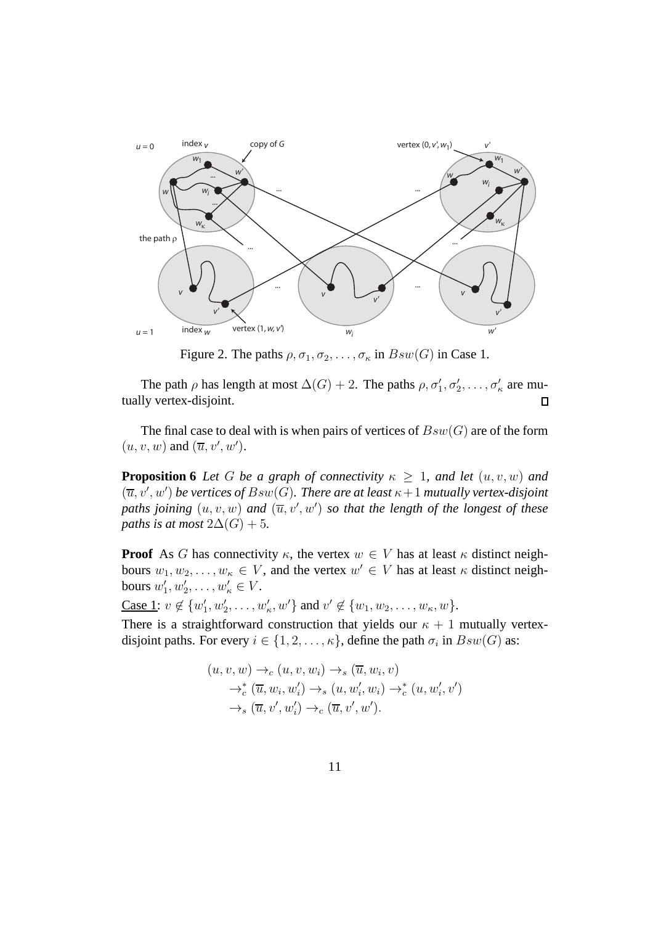

Figure 2. The paths  $\rho, \sigma_1, \sigma_2, \ldots, \sigma_{\kappa}$  in  $Bsw(G)$  in Case 1.

The path  $\rho$  has length at most  $\Delta(G) + 2$ . The paths  $\rho, \sigma'_1, \sigma'_2, \ldots, \sigma'_\kappa$  are mutually vertex-disjoint.  $\Box$ 

The final case to deal with is when pairs of vertices of  $Bsw(G)$  are of the form  $(u, v, w)$  and  $(\overline{u}, v', w')$ .

**Proposition 6** *Let* G *be a graph of connectivity*  $\kappa > 1$ *, and let*  $(u, v, w)$  *and*  $(\overline{u}, v', w')$  be vertices of  $Bsw(\overline{G})$ . There are at least  $\kappa + 1$  mutually vertex-disjoint paths joining  $(u, v, w)$  and  $(\overline{u}, v', w')$  so that the length of the longest of these *paths is at most*  $2\Delta(G) + 5$ *.* 

**Proof** As G has connectivity  $\kappa$ , the vertex  $w \in V$  has at least  $\kappa$  distinct neighbours  $w_1, w_2, \ldots, w_{\kappa} \in V$ , and the vertex  $w' \in V$  has at least  $\kappa$  distinct neighbours  $w_1'$  $'_{1}, w'_{2}, \ldots, w'_{\kappa} \in V.$ 

Case 1:  $v \notin \{w_1'$  $w'_1, w'_2, \ldots, w'_\kappa, w' \}$  and  $v' \notin \{w_1, w_2, \ldots, w_\kappa, w\}.$ 

There is a straightforward construction that yields our  $\kappa + 1$  mutually vertexdisjoint paths. For every  $i \in \{1, 2, ..., \kappa\}$ , define the path  $\sigma_i$  in  $Bsw(G)$  as:

$$
(u, v, w) \rightarrow_c (u, v, w_i) \rightarrow_s (\overline{u}, w_i, v)
$$
  
\n
$$
\rightarrow_c^* (\overline{u}, w_i, w_i') \rightarrow_s (u, w_i', w_i) \rightarrow_c^* (u, w_i', v')
$$
  
\n
$$
\rightarrow_s (\overline{u}, v', w_i') \rightarrow_c (\overline{u}, v', w').
$$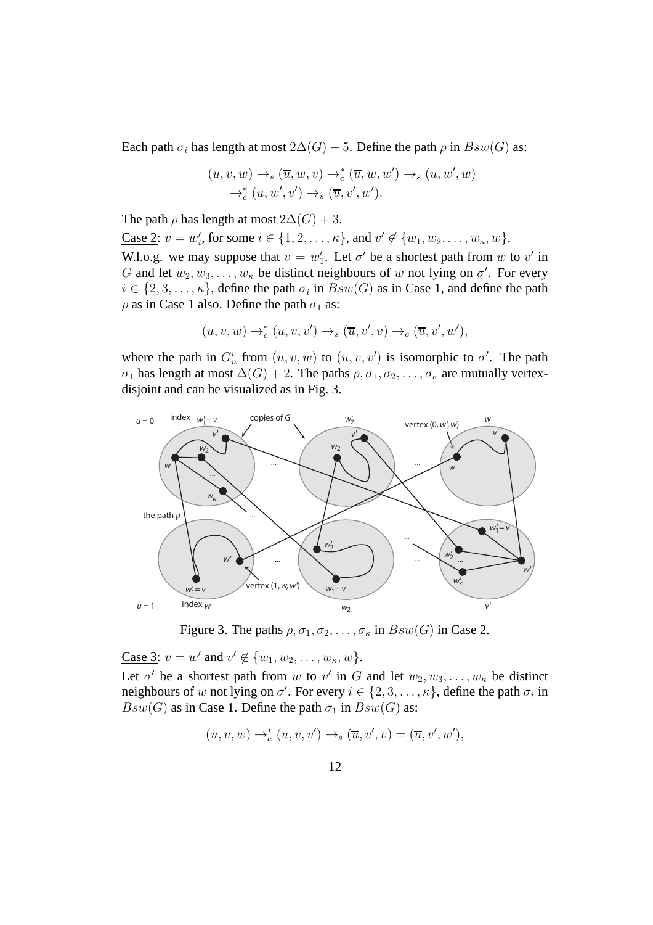Each path  $\sigma_i$  has length at most  $2\Delta(G) + 5$ . Define the path  $\rho$  in  $Bsw(G)$  as:

$$
(u, v, w) \rightarrow_s (\overline{u}, w, v) \rightarrow_c^* (\overline{u}, w, w') \rightarrow_s (u, w', w)
$$

$$
\rightarrow_c^* (u, w', v') \rightarrow_s (\overline{u}, v', w').
$$

The path  $\rho$  has length at most  $2\Delta(G) + 3$ .

Case 2:  $v = w'_i$  $i'$ , for some  $i \in \{1, 2, ..., \kappa\}$ , and  $v' \notin \{w_1, w_2, ..., w_{\kappa}, w\}$ . W.l.o.g. we may suppose that  $v = w_1'$ '<sub>1</sub>. Let  $\sigma'$  be a shortest path from w to v' in G and let  $w_2, w_3, \ldots, w_k$  be distinct neighbours of w not lying on  $\sigma'$ . For every  $i \in \{2, 3, \ldots, \kappa\}$ , define the path  $\sigma_i$  in  $Bsw(G)$  as in Case 1, and define the path  $\rho$  as in Case 1 also. Define the path  $\sigma_1$  as:

$$
(u, v, w) \rightarrow_c^* (u, v, v') \rightarrow_s (\overline{u}, v', v) \rightarrow_c (\overline{u}, v', w'),
$$

where the path in  $G_u^v$  from  $(u, v, w)$  to  $(u, v, v')$  is isomorphic to  $\sigma'$ . The path  $\sigma_1$  has length at most  $\Delta(G) + 2$ . The paths  $\rho, \sigma_1, \sigma_2, \ldots, \sigma_{\kappa}$  are mutually vertexdisjoint and can be visualized as in Fig. 3.



Figure 3. The paths  $\rho, \sigma_1, \sigma_2, \ldots, \sigma_{\kappa}$  in  $Bsw(G)$  in Case 2.

<u>Case 3</u>:  $v = w'$  and  $v' \notin \{w_1, w_2, \dots, w_{\kappa}, w\}.$ 

Let  $\sigma'$  be a shortest path from w to v' in G and let  $w_2, w_3, \ldots, w_{\kappa}$  be distinct neighbours of w not lying on  $\sigma'$ . For every  $i \in \{2, 3, \ldots, \kappa\}$ , define the path  $\sigma_i$  in  $Bsw(G)$  as in Case 1. Define the path  $\sigma_1$  in  $Bsw(G)$  as:

$$
(u, v, w) \rightarrow_c^* (u, v, v') \rightarrow_s (\overline{u}, v', v) = (\overline{u}, v', w'),
$$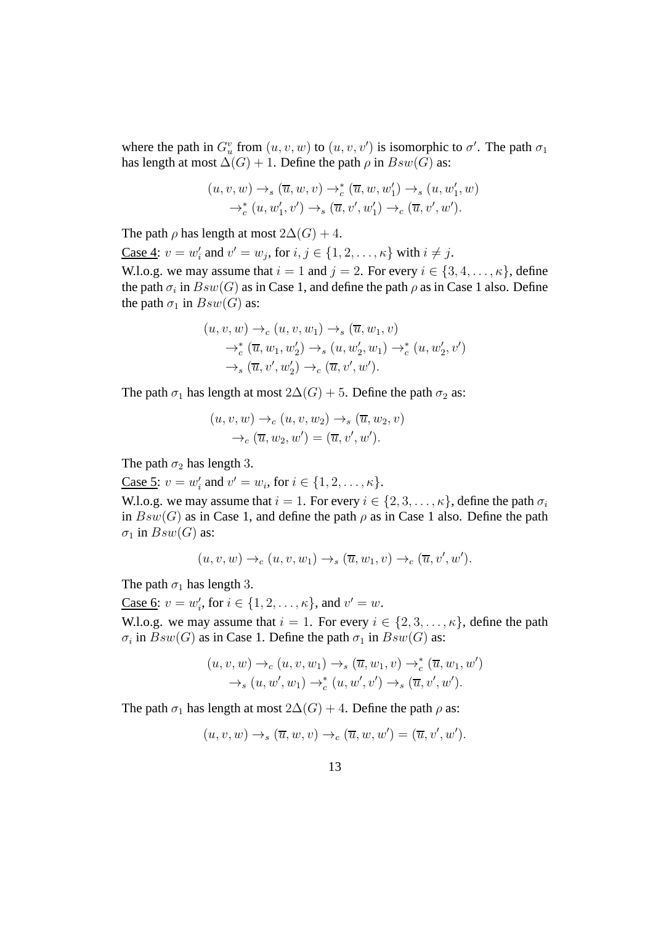where the path in  $G_u^v$  from  $(u, v, w)$  to  $(u, v, v')$  is isomorphic to  $\sigma'$ . The path  $\sigma_1$ has length at most  $\Delta(G) + 1$ . Define the path  $\rho$  in  $Bsw(G)$  as:

$$
(u, v, w) \rightarrow_s (\overline{u}, w, v) \rightarrow_c^* (\overline{u}, w, w'_1) \rightarrow_s (u, w'_1, w)
$$
  

$$
\rightarrow_c^* (u, w'_1, v') \rightarrow_s (\overline{u}, v', w'_1) \rightarrow_c (\overline{u}, v', w').
$$

The path  $\rho$  has length at most  $2\Delta(G) + 4$ .

Case 4:  $v = w'_i$  $u'_i$  and  $v' = w_j$ , for  $i, j \in \{1, 2, \ldots, \kappa\}$  with  $i \neq j$ .

W.l.o.g. we may assume that  $i = 1$  and  $j = 2$ . For every  $i \in \{3, 4, \ldots, \kappa\}$ , define the path  $\sigma_i$  in  $Bsw(G)$  as in Case 1, and define the path  $\rho$  as in Case 1 also. Define the path  $\sigma_1$  in  $Bsw(G)$  as:

$$
(u, v, w) \rightarrow_c (u, v, w_1) \rightarrow_s (\overline{u}, w_1, v)
$$
  
\n
$$
\rightarrow_c^* (\overline{u}, w_1, w_2') \rightarrow_s (u, w_2', w_1) \rightarrow_c^* (u, w_2', v')
$$
  
\n
$$
\rightarrow_s (\overline{u}, v', w_2') \rightarrow_c (\overline{u}, v', w').
$$

The path  $\sigma_1$  has length at most  $2\Delta(G) + 5$ . Define the path  $\sigma_2$  as:

$$
(u, v, w) \rightarrow_c (u, v, w_2) \rightarrow_s (\overline{u}, w_2, v)
$$

$$
\rightarrow_c (\overline{u}, w_2, w') = (\overline{u}, v', w').
$$

The path  $\sigma_2$  has length 3.

Case 5:  $v = w'_i$  $v' = w_i$ , for  $i \in \{1, 2, \ldots, \kappa\}.$ 

W.l.o.g. we may assume that  $i = 1$ . For every  $i \in \{2, 3, \ldots, \kappa\}$ , define the path  $\sigma_i$ in  $Bsw(G)$  as in Case 1, and define the path  $\rho$  as in Case 1 also. Define the path  $\sigma_1$  in  $Bsw(G)$  as:

$$
(u, v, w) \rightarrow_c (u, v, w_1) \rightarrow_s (\overline{u}, w_1, v) \rightarrow_c (\overline{u}, v', w').
$$

The path  $\sigma_1$  has length 3.

Case 6:  $v = w'_i$  $i'$ , for  $i \in \{1, 2, ..., \kappa\}$ , and  $v' = w$ .

W.l.o.g. we may assume that  $i = 1$ . For every  $i \in \{2, 3, \ldots, \kappa\}$ , define the path  $\sigma_i$  in  $Bsw(G)$  as in Case 1. Define the path  $\sigma_1$  in  $Bsw(G)$  as:

$$
(u, v, w) \rightarrow_c (u, v, w_1) \rightarrow_s (\overline{u}, w_1, v) \rightarrow_c^* (\overline{u}, w_1, w')
$$
  

$$
\rightarrow_s (u, w', w_1) \rightarrow_c^* (u, w', v') \rightarrow_s (\overline{u}, v', w').
$$

The path  $\sigma_1$  has length at most  $2\Delta(G) + 4$ . Define the path  $\rho$  as:

$$
(u, v, w) \rightarrow_s (\overline{u}, w, v) \rightarrow_c (\overline{u}, w, w') = (\overline{u}, v', w').
$$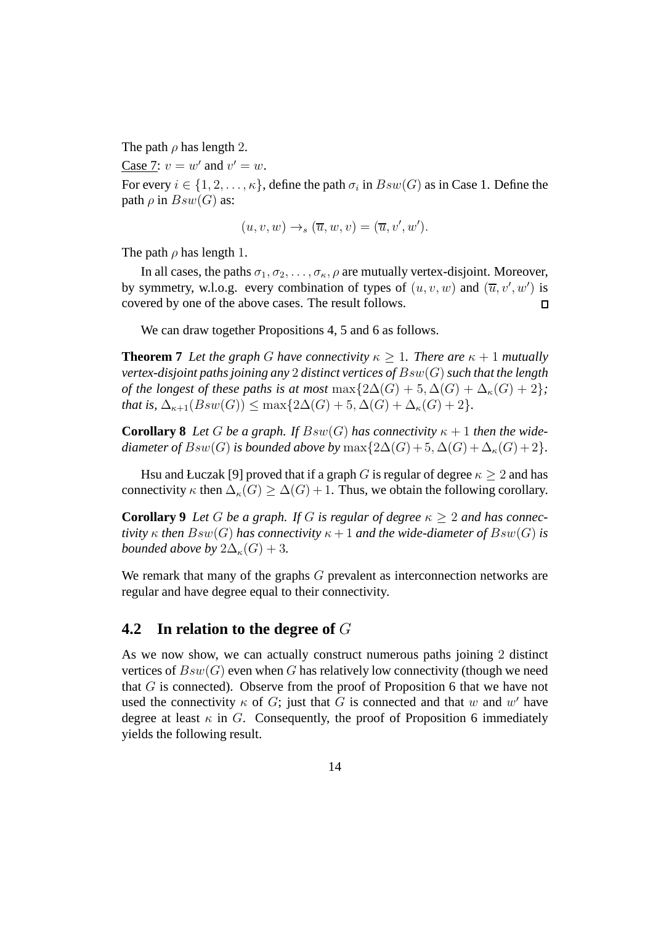The path  $\rho$  has length 2.

Case 7:  $v = w'$  and  $v' = w$ .

For every  $i \in \{1, 2, \ldots, \kappa\}$ , define the path  $\sigma_i$  in  $Bsw(G)$  as in Case 1. Define the path  $\rho$  in  $Bsw(G)$  as:

$$
(u, v, w) \rightarrow_s (\overline{u}, w, v) = (\overline{u}, v', w').
$$

The path  $\rho$  has length 1.

In all cases, the paths  $\sigma_1, \sigma_2, \ldots, \sigma_{\kappa}$ ,  $\rho$  are mutually vertex-disjoint. Moreover, by symmetry, w.l.o.g. every combination of types of  $(u, v, w)$  and  $(\overline{u}, v', w')$  is covered by one of the above cases. The result follows.  $\Box$ 

We can draw together Propositions 4, 5 and 6 as follows.

**Theorem 7** Let the graph G have connectivity  $\kappa \geq 1$ . There are  $\kappa + 1$  mutually *vertex-disjoint paths joining any* 2 *distinct vertices of* Bsw(G)*such that the length of the longest of these paths is at most* max $\{2\Delta(G) + 5, \Delta(G) + \Delta_{\kappa}(G) + 2\}$ ; *that is,*  $\Delta_{\kappa+1}(Bsw(G)) \le \max\{2\Delta(G) + 5, \Delta(G) + \Delta_{\kappa}(G) + 2\}.$ 

**Corollary 8** *Let* G *be a graph. If*  $Bsw(G)$  *has connectivity*  $\kappa + 1$  *then the widediameter of*  $Bsw(G)$  *is bounded above by*  $max\{2\Delta(G)+5, \Delta(G)+\Delta_{\kappa}(G)+2\}.$ 

Hsu and Łuczak [9] proved that if a graph G is regular of degree  $\kappa > 2$  and has connectivity  $\kappa$  then  $\Delta_{\kappa}(G) \geq \Delta(G) + 1$ . Thus, we obtain the following corollary.

**Corollary 9** Let G be a graph. If G is regular of degree  $\kappa > 2$  and has connec*tivity*  $\kappa$  *then*  $Bsw(G)$  *has connectivity*  $\kappa + 1$  *and the wide-diameter of*  $Bsw(G)$  *is bounded above by*  $2\Delta_{\kappa}(G) + 3$ *.* 

We remark that many of the graphs  $G$  prevalent as interconnection networks are regular and have degree equal to their connectivity.

#### **4.2 In relation to the degree of** G

As we now show, we can actually construct numerous paths joining 2 distinct vertices of  $Bsw(G)$  even when G has relatively low connectivity (though we need that  $G$  is connected). Observe from the proof of Proposition 6 that we have not used the connectivity  $\kappa$  of G; just that G is connected and that w and w' have degree at least  $\kappa$  in G. Consequently, the proof of Proposition 6 immediately yields the following result.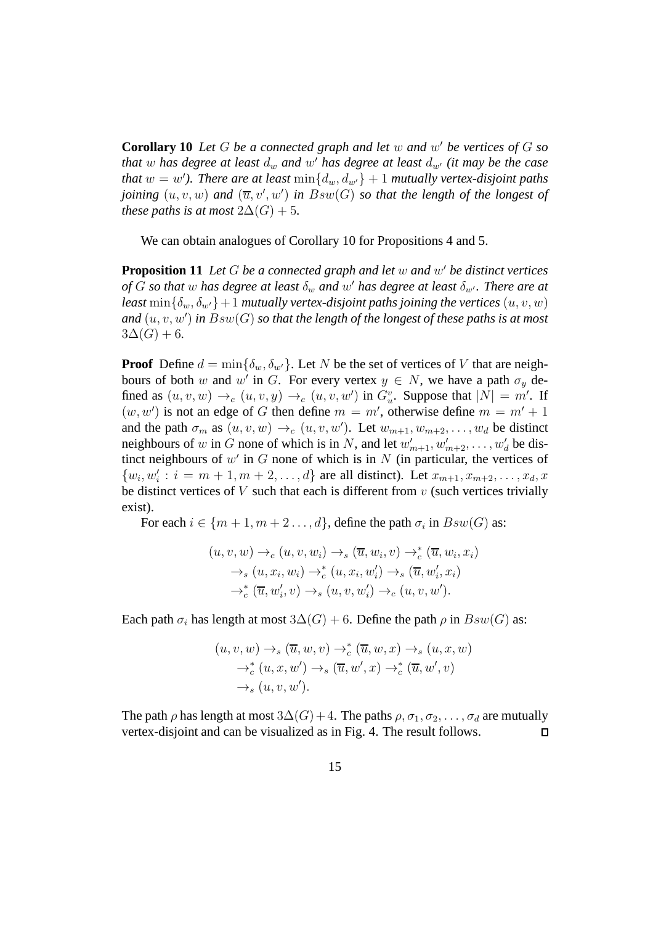**Corollary 10** *Let* G *be a connected graph and let* w *and* w ′ *be vertices of* G *so that* w has degree at least  $d_w$  and  $w'$  has degree at least  $d_{w'}$  (it may be the case *that*  $w = w'$ ). There are at least  $\min\{d_w, d_{w'}\} + 1$  *mutually vertex-disjoint paths joining*  $(u, v, w)$  and  $(\overline{u}, v', w')$  in  $\overline{Bsw(G)}$  so that the length of the longest of *these paths is at most*  $2\Delta(G) + 5$ *.* 

We can obtain analogues of Corollary 10 for Propositions 4 and 5.

**Proposition 11** *Let* G *be a connected graph and let* w *and* w ′ *be distinct vertices*  $of$   $\overline{G}$  *so that*  $w$  *has degree at least*  $\delta_w$  *and*  $w'$  *has degree at least*  $\delta_{w'}$ *. There are at least* min $\{\delta_w, \delta_{w'}\}$  + 1 *mutually vertex-disjoint paths joining the vertices*  $(u, v, w)$ *and* (u, v, w′ ) *in* Bsw(G) *so that the length of the longest of these paths is at most*  $3\Delta(G) + 6.$ 

**Proof** Define  $d = \min{\{\delta_w, \delta_{w'}\}}$ . Let N be the set of vertices of V that are neighbours of both w and w' in G. For every vertex  $y \in N$ , we have a path  $\sigma_y$  defined as  $(u, v, w) \rightarrow_c (u, v, y) \rightarrow_c (u, v, w')$  in  $G_u^v$ . Suppose that  $|\overline{N}| = m'$ . If  $(w, w')$  is not an edge of G then define  $m = m'$ , otherwise define  $m = m' + 1$ and the path  $\sigma_m$  as  $(u, v, w) \rightarrow_c (u, v, w')$ . Let  $w_{m+1}, w_{m+2}, \ldots, w_d$  be distinct neighbours of w in G none of which is in N, and let  $w'_{m+1}, w'_{m+2}, \ldots, w'_{d}$  be distinct neighbours of  $w'$  in G none of which is in N (in particular, the vertices of  $\{w_i, w'_i : i = m+1, m+2, \ldots, d\}$  are all distinct). Let  $x_{m+1}, x_{m+2}, \ldots, x_d, x$ be distinct vertices of  $V$  such that each is different from  $v$  (such vertices trivially exist).

For each  $i \in \{m+1, m+2 \ldots, d\}$ , define the path  $\sigma_i$  in  $Bsw(G)$  as:

$$
(u, v, w) \rightarrow_c (u, v, w_i) \rightarrow_s (\overline{u}, w_i, v) \rightarrow_c^* (\overline{u}, w_i, x_i)
$$
  
\n
$$
\rightarrow_s (u, x_i, w_i) \rightarrow_c^* (u, x_i, w_i') \rightarrow_s (\overline{u}, w_i', x_i)
$$
  
\n
$$
\rightarrow_c^* (\overline{u}, w_i', v) \rightarrow_s (u, v, w_i') \rightarrow_c (u, v, w_i').
$$

Each path  $\sigma_i$  has length at most 3 $\Delta(G)$  + 6. Define the path  $\rho$  in  $Bsw(G)$  as:

$$
(u, v, w) \rightarrow_s (\overline{u}, w, v) \rightarrow_c^* (\overline{u}, w, x) \rightarrow_s (u, x, w)
$$
  

$$
\rightarrow_c^* (u, x, w') \rightarrow_s (\overline{u}, w', x) \rightarrow_c^* (\overline{u}, w', v)
$$
  

$$
\rightarrow_s (u, v, w').
$$

The path  $\rho$  has length at most  $3\Delta(G) + 4$ . The paths  $\rho, \sigma_1, \sigma_2, \ldots, \sigma_d$  are mutually vertex-disjoint and can be visualized as in Fig. 4. The result follows.  $\Box$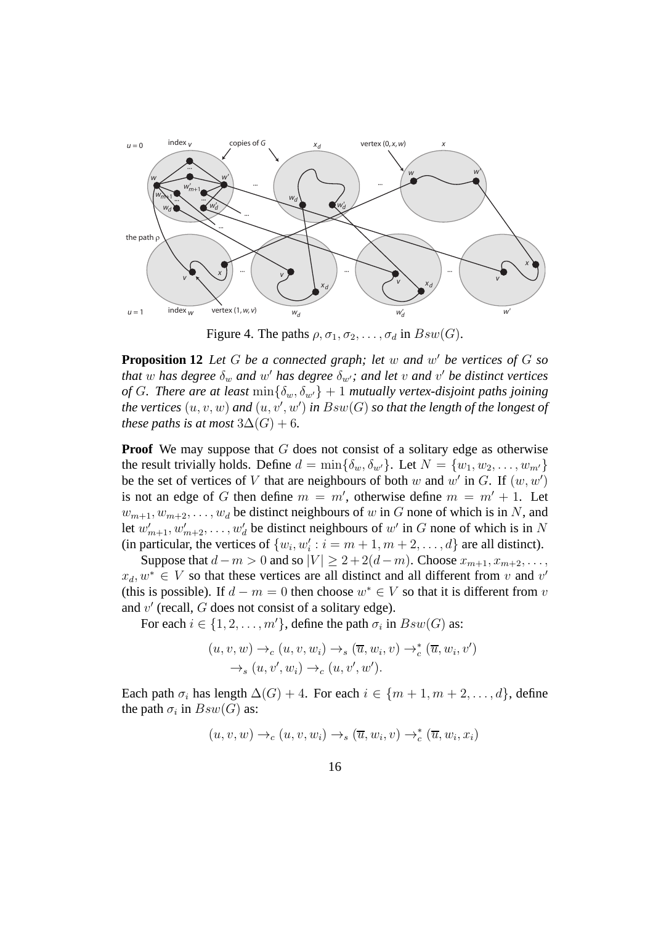

Figure 4. The paths  $\rho, \sigma_1, \sigma_2, \ldots, \sigma_d$  in  $Bsw(G)$ .

**Proposition 12** *Let* G *be a connected graph; let* w *and* w ′ *be vertices of* G *so that* w has degree  $\delta_w$  and  $w'$  has degree  $\delta_{w'}$ ; and let v and  $v'$  be distinct vertices *of* G. There are at least  $\min{\{\delta_w, \delta_{w'}\}} + 1$  *mutually vertex-disjoint paths joining the vertices*  $(u, v, w)$  *and*  $(u, v', w')$  *in*  $Bsw(G)$  *so that the length of the longest of these paths is at most*  $3\Delta(G) + 6$ *.* 

**Proof** We may suppose that G does not consist of a solitary edge as otherwise the result trivially holds. Define  $d = \min{\{\delta_w, \delta_{w'}\}}$ . Let  $N = \{w_1, w_2, \ldots, w_{m'}\}$ be the set of vertices of V that are neighbours of both w and w' in G. If  $(w, w')$ is not an edge of G then define  $m = m'$ , otherwise define  $m = m' + 1$ . Let  $w_{m+1}, w_{m+2}, \ldots, w_d$  be distinct neighbours of w in G none of which is in N, and let  $w'_{m+1}, w'_{m+2}, \ldots, w'_{d}$  be distinct neighbours of w' in G none of which is in N (in particular, the vertices of  $\{w_i, w'_i : i = m+1, m+2, \ldots, d\}$  are all distinct).

Suppose that  $d-m > 0$  and so  $|V| \geq 2 + 2(d-m)$ . Choose  $x_{m+1}, x_{m+2}, \ldots$ ,  $x_d, w^* \in V$  so that these vertices are all distinct and all different from v and v' (this is possible). If  $d - m = 0$  then choose  $w^* \in V$  so that it is different from v and  $v'$  (recall,  $G$  does not consist of a solitary edge).

For each  $i \in \{1, 2, ..., m'\}$ , define the path  $\sigma_i$  in  $Bsw(G)$  as:

$$
(u, v, w) \rightarrow_c (u, v, w_i) \rightarrow_s (\overline{u}, w_i, v) \rightarrow_c^* (\overline{u}, w_i, v')
$$
  

$$
\rightarrow_s (u, v', w_i) \rightarrow_c (u, v', w').
$$

Each path  $\sigma_i$  has length  $\Delta(G) + 4$ . For each  $i \in \{m+1, m+2, \ldots, d\}$ , define the path  $\sigma_i$  in  $Bsw(G)$  as:

$$
(u, v, w) \rightarrow_c (u, v, w_i) \rightarrow_s (\overline{u}, w_i, v) \rightarrow_c^* (\overline{u}, w_i, x_i)
$$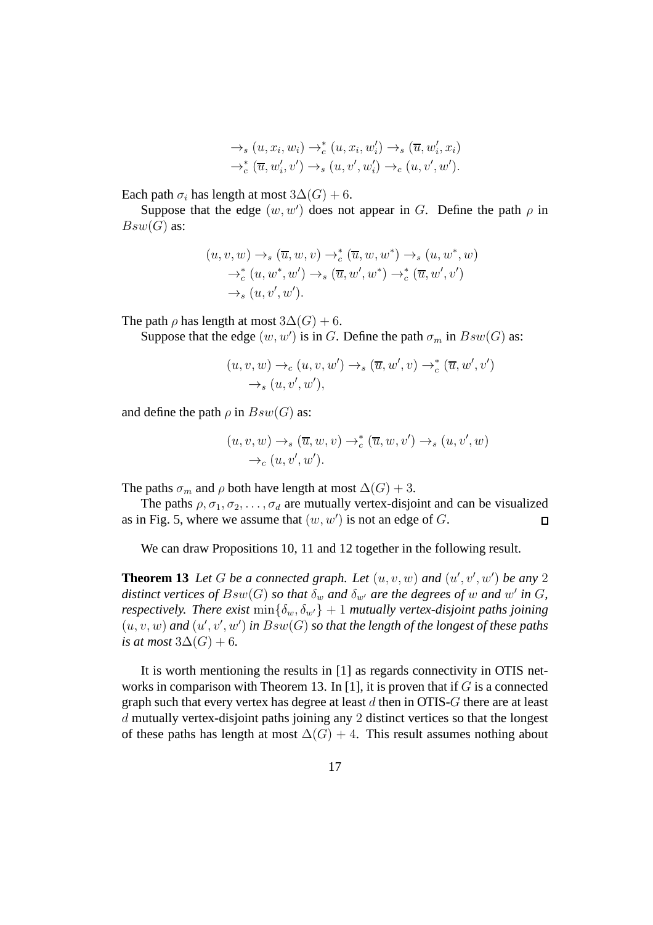$$
\rightarrow_s (u, x_i, w_i) \rightarrow_c^* (u, x_i, w_i') \rightarrow_s (\overline{u}, w_i', x_i)
$$
  

$$
\rightarrow_c^* (\overline{u}, w_i', v') \rightarrow_s (u, v', w_i') \rightarrow_c (u, v', w').
$$

Each path  $\sigma_i$  has length at most 3 $\Delta(G) + 6$ .

Suppose that the edge  $(w, w')$  does not appear in G. Define the path  $\rho$  in  $Bsw(G)$  as:

$$
(u, v, w) \rightarrow_s (\overline{u}, w, v) \rightarrow_c^* (\overline{u}, w, w^*) \rightarrow_s (u, w^*, w)
$$
  
\n
$$
\rightarrow_c^* (u, w^*, w') \rightarrow_s (\overline{u}, w', w^*) \rightarrow_c^* (\overline{u}, w', v')
$$
  
\n
$$
\rightarrow_s (u, v', w').
$$

The path  $\rho$  has length at most  $3\Delta(G) + 6$ .

Suppose that the edge  $(w, w')$  is in G. Define the path  $\sigma_m$  in  $Bsw(G)$  as:

$$
(u, v, w) \rightarrow_c (u, v, w') \rightarrow_s (\overline{u}, w', v) \rightarrow_c^* (\overline{u}, w', v')
$$
  

$$
\rightarrow_s (u, v', w'),
$$

and define the path  $\rho$  in  $Bsw(G)$  as:

$$
(u, v, w) \rightarrow_s (\overline{u}, w, v) \rightarrow_c^* (\overline{u}, w, v') \rightarrow_s (u, v', w)
$$
  

$$
\rightarrow_c (u, v', w').
$$

The paths  $\sigma_m$  and  $\rho$  both have length at most  $\Delta(G) + 3$ .

The paths  $\rho, \sigma_1, \sigma_2, \ldots, \sigma_d$  are mutually vertex-disjoint and can be visualized as in Fig. 5, where we assume that  $(w, w')$  is not an edge of G.  $\Box$ 

We can draw Propositions 10, 11 and 12 together in the following result.

**Theorem 13** Let G be a connected graph. Let  $(u, v, w)$  and  $(u', v', w')$  be any 2  $d$ *istinct vertices of*  $Bsw(G)$  *so that*  $\delta_w$  *and*  $\delta_{w'}$  *are the degrees of* w *and* w' *in*  $G$ *, respectively. There exist*  $\min{\{\delta_w, \delta_{w'}\}} + 1$  *mutually vertex-disjoint paths joining*  $(u, v, w)$  and  $(u', v', w')$  in  $Bsw(G)$  so that the length of the longest of these paths *is at most*  $3\Delta(G) + 6$ *.* 

It is worth mentioning the results in [1] as regards connectivity in OTIS networks in comparison with Theorem 13. In [1], it is proven that if  $G$  is a connected graph such that every vertex has degree at least  $d$  then in OTIS- $G$  there are at least d mutually vertex-disjoint paths joining any 2 distinct vertices so that the longest of these paths has length at most  $\Delta(G) + 4$ . This result assumes nothing about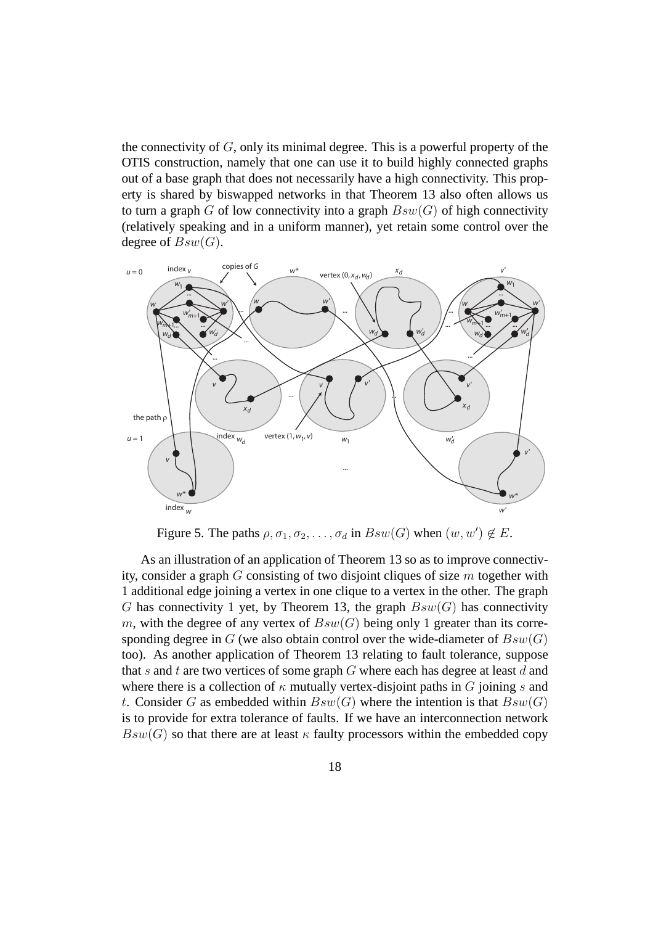the connectivity of  $G$ , only its minimal degree. This is a powerful property of the OTIS construction, namely that one can use it to build highly connected graphs out of a base graph that does not necessarily have a high connectivity. This property is shared by biswapped networks in that Theorem 13 also often allows us to turn a graph G of low connectivity into a graph  $Bsw(G)$  of high connectivity (relatively speaking and in a uniform manner), yet retain some control over the degree of  $Bsw(G)$ .



Figure 5. The paths  $\rho, \sigma_1, \sigma_2, \ldots, \sigma_d$  in  $Bsw(G)$  when  $(w, w') \notin E$ .

As an illustration of an application of Theorem 13 so as to improve connectivity, consider a graph  $G$  consisting of two disjoint cliques of size  $m$  together with 1 additional edge joining a vertex in one clique to a vertex in the other. The graph G has connectivity 1 yet, by Theorem 13, the graph  $Bsw(G)$  has connectivity m, with the degree of any vertex of  $Bsw(G)$  being only 1 greater than its corresponding degree in  $G$  (we also obtain control over the wide-diameter of  $Bsw(G)$ too). As another application of Theorem 13 relating to fault tolerance, suppose that s and t are two vertices of some graph  $G$  where each has degree at least  $d$  and where there is a collection of  $\kappa$  mutually vertex-disjoint paths in G joining s and t. Consider G as embedded within  $Bsw(G)$  where the intention is that  $Bsw(G)$ is to provide for extra tolerance of faults. If we have an interconnection network  $Bsw(G)$  so that there are at least  $\kappa$  faulty processors within the embedded copy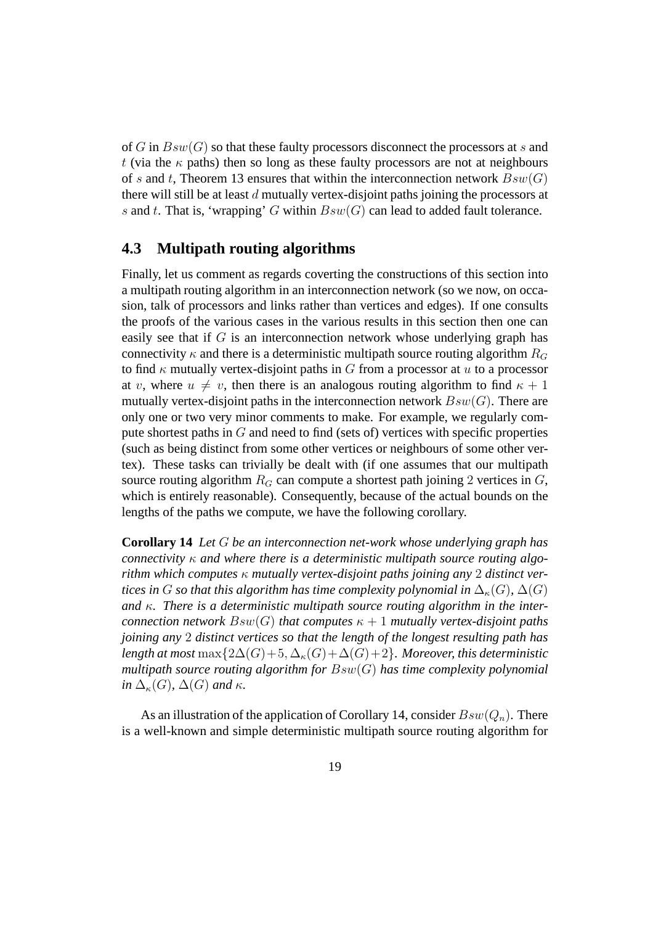of G in  $Bsw(G)$  so that these faulty processors disconnect the processors at s and t (via the  $\kappa$  paths) then so long as these faulty processors are not at neighbours of s and t, Theorem 13 ensures that within the interconnection network  $Bsw(G)$ there will still be at least  $d$  mutually vertex-disjoint paths joining the processors at s and t. That is, 'wrapping' G within  $Bsw(G)$  can lead to added fault tolerance.

### **4.3 Multipath routing algorithms**

Finally, let us comment as regards coverting the constructions of this section into a multipath routing algorithm in an interconnection network (so we now, on occasion, talk of processors and links rather than vertices and edges). If one consults the proofs of the various cases in the various results in this section then one can easily see that if G is an interconnection network whose underlying graph has connectivity  $\kappa$  and there is a deterministic multipath source routing algorithm  $R_G$ to find  $\kappa$  mutually vertex-disjoint paths in G from a processor at u to a processor at v, where  $u \neq v$ , then there is an analogous routing algorithm to find  $\kappa + 1$ mutually vertex-disjoint paths in the interconnection network  $Bsw(G)$ . There are only one or two very minor comments to make. For example, we regularly compute shortest paths in G and need to find (sets of) vertices with specific properties (such as being distinct from some other vertices or neighbours of some other vertex). These tasks can trivially be dealt with (if one assumes that our multipath source routing algorithm  $R_G$  can compute a shortest path joining 2 vertices in  $G$ , which is entirely reasonable). Consequently, because of the actual bounds on the lengths of the paths we compute, we have the following corollary.

**Corollary 14** *Let* G *be an interconnection net-work whose underlying graph has connectivity* κ *and where there is a deterministic multipath source routing algorithm which computes* κ *mutually vertex-disjoint paths joining any* 2 *distinct vertices in* G *so that this algorithm has time complexity polynomial in*  $\Delta_{\kappa}(G)$ ,  $\Delta(G)$ *and* κ*. There is a deterministic multipath source routing algorithm in the interconnection network*  $Bsw(G)$  *that computes*  $\kappa + 1$  *mutually vertex-disjoint paths joining any* 2 *distinct vertices so that the length of the longest resulting path has length at most* max $\{2\Delta(G)+5, \Delta_{\kappa}(G)+\Delta(G)+2\}$ *. Moreover, this deterministic multipath source routing algorithm for* Bsw(G) *has time complexity polynomial in*  $\Delta_{\kappa}(G)$ *,*  $\Delta(G)$  *and*  $\kappa$ *.* 

As an illustration of the application of Corollary 14, consider  $Bsw(Q_n)$ . There is a well-known and simple deterministic multipath source routing algorithm for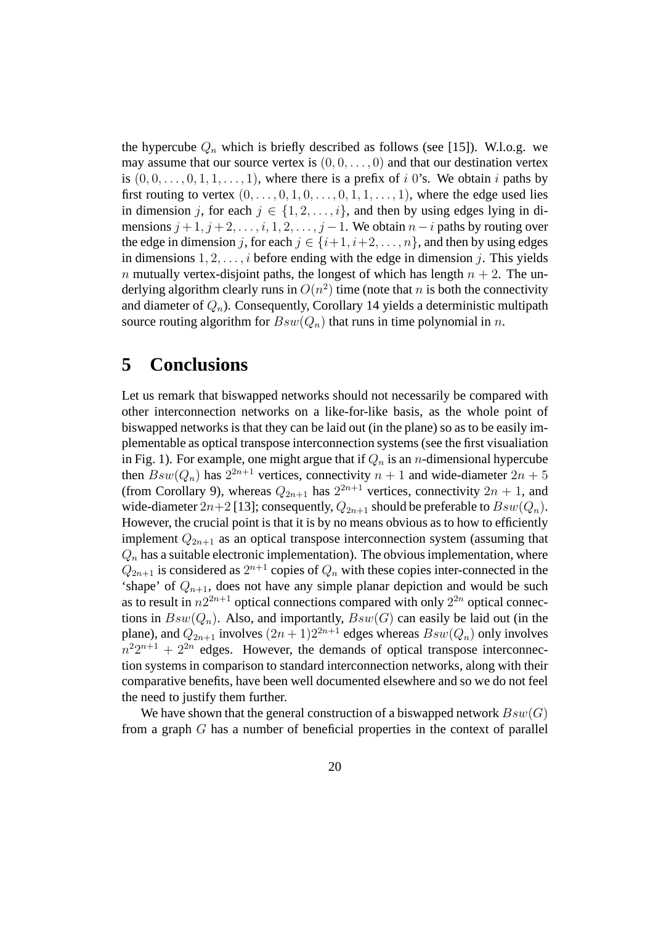the hypercube  $Q_n$  which is briefly described as follows (see [15]). W.l.o.g. we may assume that our source vertex is  $(0, 0, \ldots, 0)$  and that our destination vertex is  $(0, 0, \ldots, 0, 1, 1, \ldots, 1)$ , where there is a prefix of i 0's. We obtain i paths by first routing to vertex  $(0, \ldots, 0, 1, 0, \ldots, 0, 1, 1, \ldots, 1)$ , where the edge used lies in dimension j, for each  $j \in \{1, 2, \ldots, i\}$ , and then by using edges lying in dimensions  $j + 1, j + 2, \ldots, i, 1, 2, \ldots, j - 1$ . We obtain  $n - i$  paths by routing over the edge in dimension j, for each  $j \in \{i+1, i+2, \ldots, n\}$ , and then by using edges in dimensions  $1, 2, \ldots, i$  before ending with the edge in dimension  $i$ . This yields n mutually vertex-disjoint paths, the longest of which has length  $n + 2$ . The underlying algorithm clearly runs in  $O(n^2)$  time (note that n is both the connectivity and diameter of  $Q_n$ ). Consequently, Corollary 14 yields a deterministic multipath source routing algorithm for  $Bsw(Q_n)$  that runs in time polynomial in n.

## **5 Conclusions**

Let us remark that biswapped networks should not necessarily be compared with other interconnection networks on a like-for-like basis, as the whole point of biswapped networks is that they can be laid out (in the plane) so as to be easily implementable as optical transpose interconnection systems(see the first visualiation in Fig. 1). For example, one might argue that if  $Q_n$  is an *n*-dimensional hypercube then  $Bsw(Q_n)$  has  $2^{2n+1}$  vertices, connectivity  $n+1$  and wide-diameter  $2n+5$ (from Corollary 9), whereas  $Q_{2n+1}$  has  $2^{2n+1}$  vertices, connectivity  $2n + 1$ , and wide-diameter  $2n+2$  [13]; consequently,  $Q_{2n+1}$  should be preferable to  $Bsw(Q_n)$ . However, the crucial point is that it is by no means obvious as to how to efficiently implement  $Q_{2n+1}$  as an optical transpose interconnection system (assuming that  $Q_n$  has a suitable electronic implementation). The obvious implementation, where  $Q_{2n+1}$  is considered as  $2^{n+1}$  copies of  $Q_n$  with these copies inter-connected in the 'shape' of  $Q_{n+1}$ , does not have any simple planar depiction and would be such as to result in  $n2^{2n+1}$  optical connections compared with only  $2^{2n}$  optical connections in  $Bsw(Q_n)$ . Also, and importantly,  $Bsw(G)$  can easily be laid out (in the plane), and  $Q_{2n+1}$  involves  $(2n+1)2^{2n+1}$  edges whereas  $Bsw(Q_n)$  only involves  $n^22^{n+1} + 2^{2n}$  edges. However, the demands of optical transpose interconnection systems in comparison to standard interconnection networks, along with their comparative benefits, have been well documented elsewhere and so we do not feel the need to justify them further.

We have shown that the general construction of a biswapped network  $Bsw(G)$ from a graph G has a number of beneficial properties in the context of parallel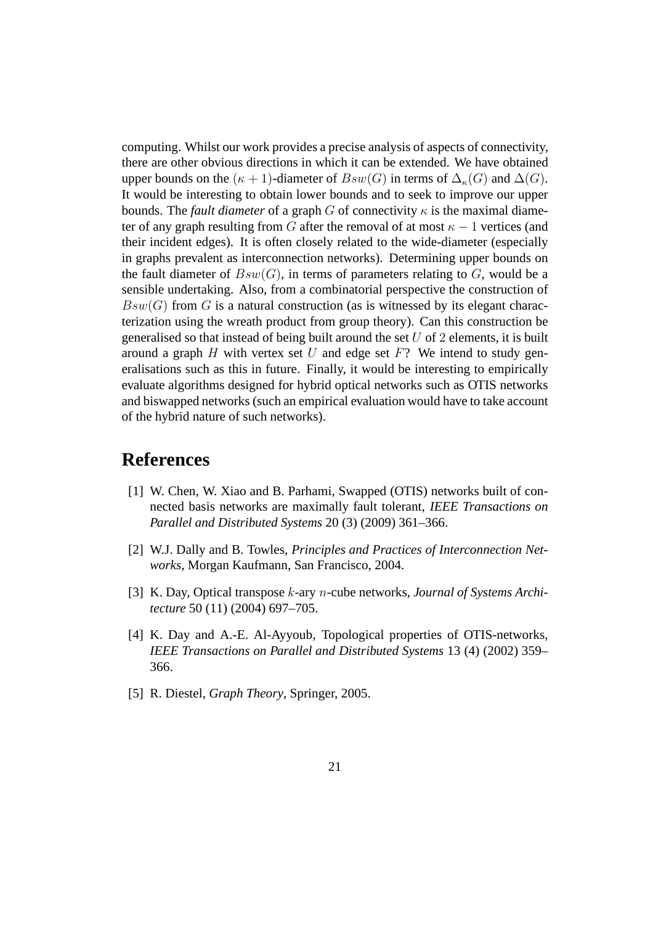computing. Whilst our work provides a precise analysis of aspects of connectivity, there are other obvious directions in which it can be extended. We have obtained upper bounds on the  $(\kappa + 1)$ -diameter of  $Bsw(G)$  in terms of  $\Delta_{\kappa}(G)$  and  $\Delta(G)$ . It would be interesting to obtain lower bounds and to seek to improve our upper bounds. The *fault diameter* of a graph  $G$  of connectivity  $\kappa$  is the maximal diameter of any graph resulting from G after the removal of at most  $\kappa - 1$  vertices (and their incident edges). It is often closely related to the wide-diameter (especially in graphs prevalent as interconnection networks). Determining upper bounds on the fault diameter of  $Bsw(G)$ , in terms of parameters relating to G, would be a sensible undertaking. Also, from a combinatorial perspective the construction of  $Bsw(G)$  from G is a natural construction (as is witnessed by its elegant characterization using the wreath product from group theory). Can this construction be generalised so that instead of being built around the set  $U$  of 2 elements, it is built around a graph  $H$  with vertex set  $U$  and edge set  $F$ ? We intend to study generalisations such as this in future. Finally, it would be interesting to empirically evaluate algorithms designed for hybrid optical networks such as OTIS networks and biswapped networks (such an empirical evaluation would have to take account of the hybrid nature of such networks).

### **References**

- [1] W. Chen, W. Xiao and B. Parhami, Swapped (OTIS) networks built of connected basis networks are maximally fault tolerant, *IEEE Transactions on Parallel and Distributed Systems* 20 (3) (2009) 361–366.
- [2] W.J. Dally and B. Towles, *Principles and Practices of Interconnection Networks*, Morgan Kaufmann, San Francisco, 2004.
- [3] K. Day, Optical transpose k-ary n-cube networks, *Journal of Systems Architecture* 50 (11) (2004) 697–705.
- [4] K. Day and A.-E. Al-Ayyoub, Topological properties of OTIS-networks, *IEEE Transactions on Parallel and Distributed Systems* 13 (4) (2002) 359– 366.
- [5] R. Diestel, *Graph Theory*, Springer, 2005.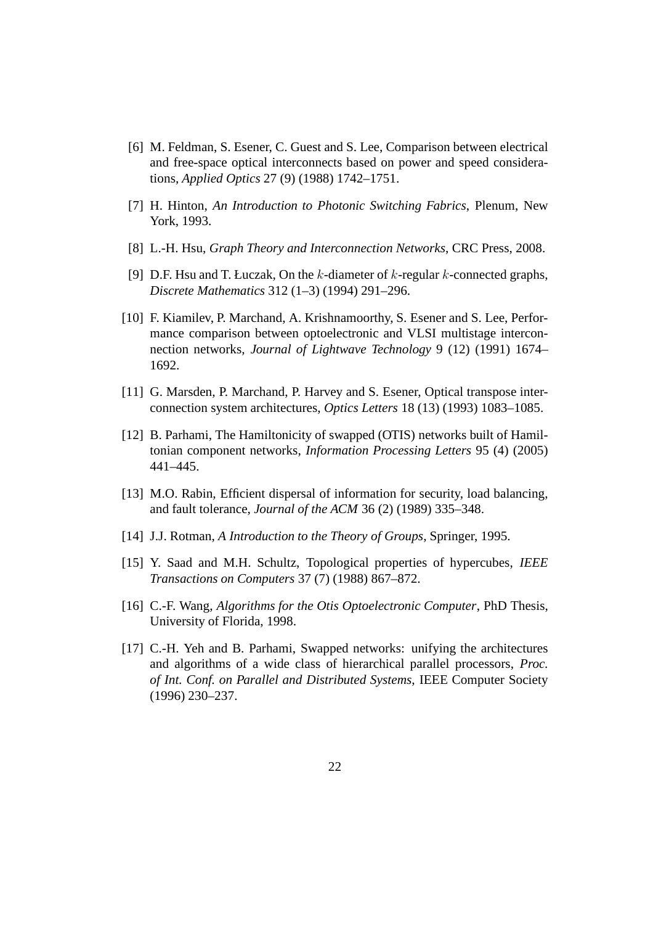- [6] M. Feldman, S. Esener, C. Guest and S. Lee, Comparison between electrical and free-space optical interconnects based on power and speed considerations, *Applied Optics* 27 (9) (1988) 1742–1751.
- [7] H. Hinton, *An Introduction to Photonic Switching Fabrics*, Plenum, New York, 1993.
- [8] L.-H. Hsu, *Graph Theory and Interconnection Networks*, CRC Press, 2008.
- [9] D.F. Hsu and T. Łuczak, On the  $k$ -diameter of  $k$ -regular  $k$ -connected graphs, *Discrete Mathematics* 312 (1–3) (1994) 291–296.
- [10] F. Kiamilev, P. Marchand, A. Krishnamoorthy, S. Esener and S. Lee, Performance comparison between optoelectronic and VLSI multistage interconnection networks, *Journal of Lightwave Technology* 9 (12) (1991) 1674– 1692.
- [11] G. Marsden, P. Marchand, P. Harvey and S. Esener, Optical transpose interconnection system architectures, *Optics Letters* 18 (13) (1993) 1083–1085.
- [12] B. Parhami, The Hamiltonicity of swapped (OTIS) networks built of Hamiltonian component networks, *Information Processing Letters* 95 (4) (2005) 441–445.
- [13] M.O. Rabin, Efficient dispersal of information for security, load balancing, and fault tolerance, *Journal of the ACM* 36 (2) (1989) 335–348.
- [14] J.J. Rotman, *A Introduction to the Theory of Groups*, Springer, 1995.
- [15] Y. Saad and M.H. Schultz, Topological properties of hypercubes, *IEEE Transactions on Computers* 37 (7) (1988) 867–872.
- [16] C.-F. Wang, *Algorithms for the Otis Optoelectronic Computer*, PhD Thesis, University of Florida, 1998.
- [17] C.-H. Yeh and B. Parhami, Swapped networks: unifying the architectures and algorithms of a wide class of hierarchical parallel processors, *Proc. of Int. Conf. on Parallel and Distributed Systems*, IEEE Computer Society (1996) 230–237.